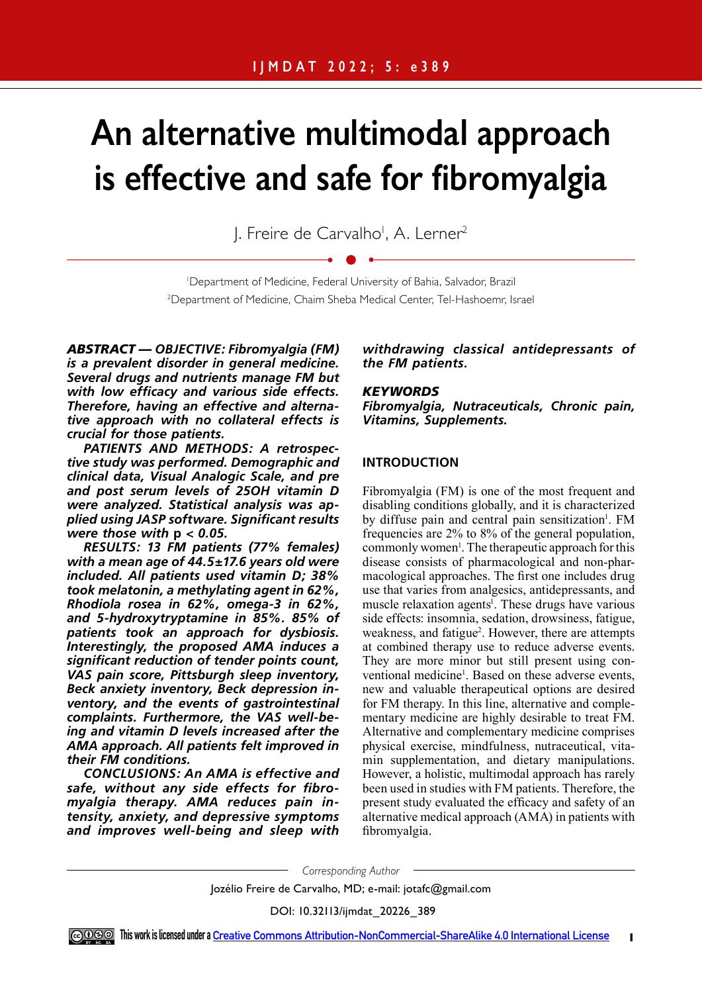# **An alternative multimodal approach is effective and safe for fibromyalgia**

J. Freire de Carvalho<sup>i</sup>, A. Lerner<sup>2</sup>

1 Department of Medicine, Federal University of Bahia, Salvador, Brazil 2 Department of Medicine, Chaim Sheba Medical Center, Tel-Hashoemr, Israel

*ABSTRACT — OBJECTIVE: Fibromyalgia (FM) is a prevalent disorder in general medicine. Several drugs and nutrients manage FM but with low efficacy and various side effects. Therefore, having an effective and alternative approach with no collateral effects is crucial for those patients.* 

*PATIENTS AND METHODS: A retrospective study was performed. Demographic and clinical data, Visual Analogic Scale, and pre and post serum levels of 25OH vitamin D were analyzed. Statistical analysis was applied using JASP software. Significant results were those with* **p** *< 0.05.* 

*RESULTS: 13 FM patients (77% females) with a mean age of 44.5±17.6 years old were included. All patients used vitamin D; 38% took melatonin, a methylating agent in 62%, Rhodiola rosea in 62%, omega-3 in 62%, and 5-hydroxytryptamine in 85%. 85% of patients took an approach for dysbiosis. Interestingly, the proposed AMA induces a significant reduction of tender points count, VAS pain score, Pittsburgh sleep inventory, Beck anxiety inventory, Beck depression inventory, and the events of gastrointestinal complaints. Furthermore, the VAS well-being and vitamin D levels increased after the AMA approach. All patients felt improved in their FM conditions.* 

*CONCLUSIONS: An AMA is effective and safe, without any side effects for fibromyalgia therapy. AMA reduces pain intensity, anxiety, and depressive symptoms and improves well-being and sleep with* 

*withdrawing classical antidepressants of the FM patients.*

## *KEYWORDS*

*Fibromyalgia, Nutraceuticals, Chronic pain, Vitamins, Supplements.*

# **INTRODUCTION**

Fibromyalgia (FM) is one of the most frequent and disabling conditions globally, and it is characterized by diffuse pain and central pain sensitization<sup>1</sup>. FM frequencies are 2% to 8% of the general population, commonly women<sup>1</sup>. The therapeutic approach for this disease consists of pharmacological and non-pharmacological approaches. The first one includes drug use that varies from analgesics, antidepressants, and muscle relaxation agents<sup>1</sup>. These drugs have various side effects: insomnia, sedation, drowsiness, fatigue, weakness, and fatigue<sup>2</sup>. However, there are attempts at combined therapy use to reduce adverse events. They are more minor but still present using conventional medicine<sup>1</sup>. Based on these adverse events, new and valuable therapeutical options are desired for FM therapy. In this line, alternative and complementary medicine are highly desirable to treat FM. Alternative and complementary medicine comprises physical exercise, mindfulness, nutraceutical, vitamin supplementation, and dietary manipulations. However, a holistic, multimodal approach has rarely been used in studies with FM patients. Therefore, the present study evaluated the efficacy and safety of an alternative medical approach (AMA) in patients with fibromyalgia.

*Corresponding Author*

Jozélio Freire de Carvalho, MD; e-mail: jotafc@gmail.com

DOI: 10.32113/ijmdat\_20226\_389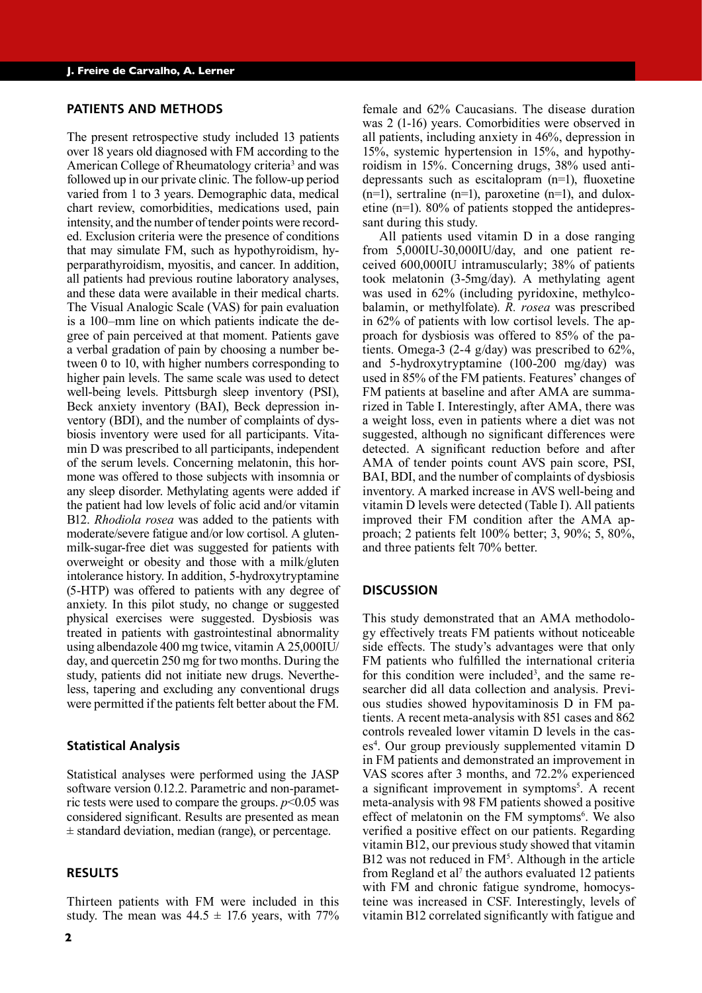#### **PATIENTS AND METHODS**

The present retrospective study included 13 patients over 18 years old diagnosed with FM according to the American College of Rheumatology criteria<sup>3</sup> and was followed up in our private clinic. The follow-up period varied from 1 to 3 years. Demographic data, medical chart review, comorbidities, medications used, pain intensity, and the number of tender points were recorded. Exclusion criteria were the presence of conditions that may simulate FM, such as hypothyroidism, hyperparathyroidism, myositis, and cancer. In addition, all patients had previous routine laboratory analyses, and these data were available in their medical charts. The Visual Analogic Scale (VAS) for pain evaluation is a 100–mm line on which patients indicate the degree of pain perceived at that moment. Patients gave a verbal gradation of pain by choosing a number between 0 to 10, with higher numbers corresponding to higher pain levels. The same scale was used to detect well-being levels. Pittsburgh sleep inventory (PSI), Beck anxiety inventory (BAI), Beck depression inventory (BDI), and the number of complaints of dysbiosis inventory were used for all participants. Vitamin D was prescribed to all participants, independent of the serum levels. Concerning melatonin, this hormone was offered to those subjects with insomnia or any sleep disorder. Methylating agents were added if the patient had low levels of folic acid and/or vitamin B12. *Rhodiola rosea* was added to the patients with moderate/severe fatigue and/or low cortisol. A glutenmilk-sugar-free diet was suggested for patients with overweight or obesity and those with a milk/gluten intolerance history. In addition, 5-hydroxytryptamine (5-HTP) was offered to patients with any degree of anxiety. In this pilot study, no change or suggested physical exercises were suggested. Dysbiosis was treated in patients with gastrointestinal abnormality using albendazole 400 mg twice, vitamin A 25,000IU/ day, and quercetin 250 mg for two months. During the study, patients did not initiate new drugs. Nevertheless, tapering and excluding any conventional drugs were permitted if the patients felt better about the FM.

## **Statistical Analysis**

Statistical analyses were performed using the JASP software version 0.12.2. Parametric and non-parametric tests were used to compare the groups.  $p<0.05$  was considered significant. Results are presented as mean  $\pm$  standard deviation, median (range), or percentage.

#### **RESULTS**

female and 62% Caucasians. The disease duration was 2 (1-16) years. Comorbidities were observed in all patients, including anxiety in 46%, depression in 15%, systemic hypertension in 15%, and hypothyroidism in 15%. Concerning drugs, 38% used antidepressants such as escitalopram (n=1), fluoxetine  $(n=1)$ , sertraline  $(n=1)$ , paroxetine  $(n=1)$ , and duloxetine (n=1). 80% of patients stopped the antidepressant during this study. All patients used vitamin D in a dose ranging

from 5,000IU-30,000IU/day, and one patient received 600,000IU intramuscularly; 38% of patients took melatonin (3-5mg/day). A methylating agent was used in 62% (including pyridoxine, methylcobalamin, or methylfolate). *R. rosea* was prescribed in 62% of patients with low cortisol levels. The approach for dysbiosis was offered to 85% of the patients. Omega-3 (2-4 g/day) was prescribed to 62%, and 5-hydroxytryptamine (100-200 mg/day) was used in 85% of the FM patients. Features' changes of FM patients at baseline and after AMA are summarized in Table I. Interestingly, after AMA, there was a weight loss, even in patients where a diet was not suggested, although no significant differences were detected. A significant reduction before and after AMA of tender points count AVS pain score, PSI, BAI, BDI, and the number of complaints of dysbiosis inventory. A marked increase in AVS well-being and vitamin D levels were detected (Table I). All patients improved their FM condition after the AMA approach; 2 patients felt 100% better; 3, 90%; 5, 80%, and three patients felt 70% better.

#### **DISCUSSION**

This study demonstrated that an AMA methodology effectively treats FM patients without noticeable side effects. The study's advantages were that only FM patients who fulfilled the international criteria for this condition were included<sup>3</sup>, and the same researcher did all data collection and analysis. Previous studies showed hypovitaminosis D in FM patients. A recent meta-analysis with 851 cases and 862 controls revealed lower vitamin D levels in the cases<sup>4</sup>. Our group previously supplemented vitamin D in FM patients and demonstrated an improvement in VAS scores after 3 months, and 72.2% experienced a significant improvement in symptoms<sup>5</sup>. A recent meta-analysis with 98 FM patients showed a positive effect of melatonin on the FM symptoms<sup>6</sup>. We also verified a positive effect on our patients. Regarding vitamin B12, our previous study showed that vitamin B12 was not reduced in  $FM<sup>5</sup>$ . Although in the article from Regland et al<sup>7</sup> the authors evaluated 12 patients with FM and chronic fatigue syndrome, homocysteine was increased in CSF. Interestingly, levels of vitamin B12 correlated significantly with fatigue and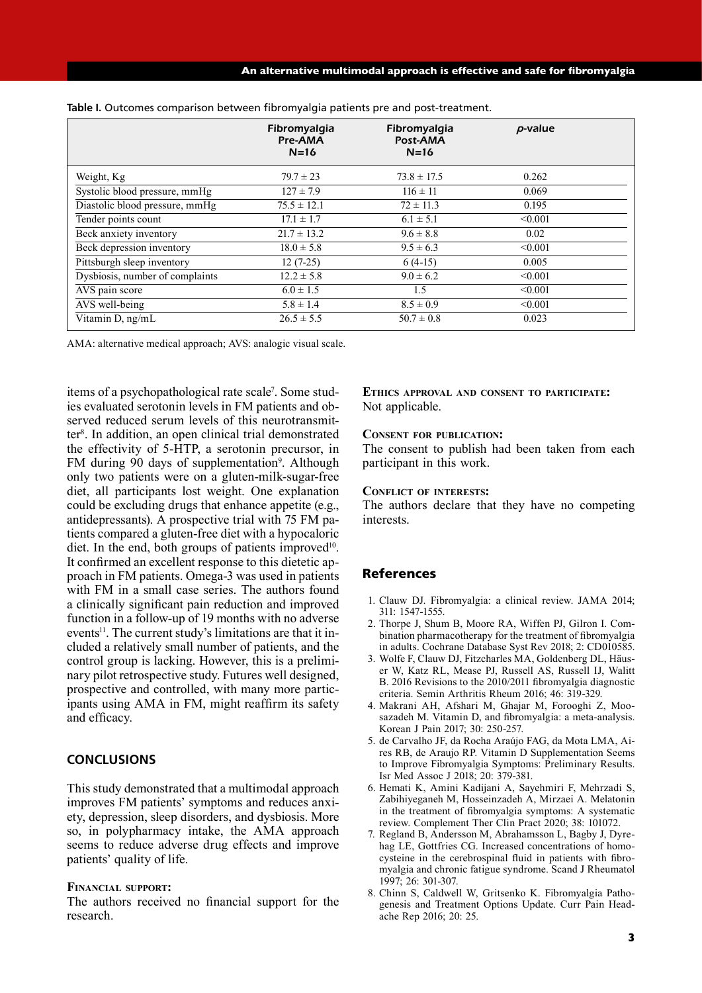|                                 | Fibromyalgia<br><b>Pre-AMA</b><br>$N=16$ | Fibromyalgia<br>Post-AMA<br>$N=16$ | $p$ -value |
|---------------------------------|------------------------------------------|------------------------------------|------------|
| Weight, Kg                      | $79.7 \pm 23$                            | $73.8 \pm 17.5$                    | 0.262      |
| Systolic blood pressure, mmHg   | $127 \pm 7.9$                            | $116 \pm 11$                       | 0.069      |
| Diastolic blood pressure, mmHg  | $75.5 \pm 12.1$                          | $72 \pm 11.3$                      | 0.195      |
| Tender points count             | $17.1 \pm 1.7$                           | $6.1 \pm 5.1$                      | < 0.001    |
| Beck anxiety inventory          | $21.7 \pm 13.2$                          | $9.6 \pm 8.8$                      | 0.02       |
| Beck depression inventory       | $18.0 \pm 5.8$                           | $9.5 \pm 6.3$                      | < 0.001    |
| Pittsburgh sleep inventory      | $12(7-25)$                               | $6(4-15)$                          | 0.005      |
| Dysbiosis, number of complaints | $12.2 \pm 5.8$                           | $9.0 \pm 6.2$                      | < 0.001    |
| AVS pain score                  | $6.0 \pm 1.5$                            | 1.5                                | < 0.001    |
| AVS well-being                  | $5.8 \pm 1.4$                            | $8.5 \pm 0.9$                      | < 0.001    |
| Vitamin D, ng/mL                | $26.5 \pm 5.5$                           | $50.7 \pm 0.8$                     | 0.023      |

**Table I.** Outcomes comparison between fibromyalgia patients pre and post-treatment.

AMA: alternative medical approach; AVS: analogic visual scale.

items of a psychopathological rate scale<sup>7</sup>. Some studies evaluated serotonin levels in FM patients and observed reduced serum levels of this neurotransmitter8 . In addition, an open clinical trial demonstrated the effectivity of 5-HTP, a serotonin precursor, in FM during 90 days of supplementation<sup>9</sup>. Although only two patients were on a gluten-milk-sugar-free diet, all participants lost weight. One explanation could be excluding drugs that enhance appetite (e.g., antidepressants). A prospective trial with 75 FM patients compared a gluten-free diet with a hypocaloric diet. In the end, both groups of patients improved<sup>10</sup>. It confirmed an excellent response to this dietetic approach in FM patients. Omega-3 was used in patients with FM in a small case series. The authors found a clinically significant pain reduction and improved function in a follow-up of 19 months with no adverse events<sup>11</sup>. The current study's limitations are that it included a relatively small number of patients, and the control group is lacking. However, this is a preliminary pilot retrospective study. Futures well designed, prospective and controlled, with many more participants using AMA in FM, might reaffirm its safety and efficacy.

# **CONCLUSIONS**

This study demonstrated that a multimodal approach improves FM patients' symptoms and reduces anxiety, depression, sleep disorders, and dysbiosis. More so, in polypharmacy intake, the AMA approach seems to reduce adverse drug effects and improve patients' quality of life.

#### **Financial support:**

The authors received no financial support for the research.

**Ethics approval and consent to participate:** Not applicable.

#### **Consent for publication:**

The consent to publish had been taken from each participant in this work.

#### **Conflict of interests:**

The authors declare that they have no competing interests.

## References

- 1. Clauw DJ. Fibromyalgia: a clinical review. JAMA 2014; 311: 1547-1555.
- 2. Thorpe J, Shum B, Moore RA, Wiffen PJ, Gilron I. Combination pharmacotherapy for the treatment of fibromyalgia in adults. Cochrane Database Syst Rev 2018; 2: CD010585.
- 3. Wolfe F, Clauw DJ, Fitzcharles MA, Goldenberg DL, Häuser W, Katz RL, Mease PJ, Russell AS, Russell IJ, Walitt B. 2016 Revisions to the 2010/2011 fibromyalgia diagnostic criteria. Semin Arthritis Rheum 2016; 46: 319-329.
- 4. Makrani AH, Afshari M, Ghajar M, Forooghi Z, Moosazadeh M. Vitamin D, and fibromyalgia: a meta-analysis. Korean J Pain 2017; 30: 250-257.
- 5. de Carvalho JF, da Rocha Araújo FAG, da Mota LMA, Aires RB, de Araujo RP. Vitamin D Supplementation Seems to Improve Fibromyalgia Symptoms: Preliminary Results. Isr Med Assoc J 2018; 20: 379-381.
- 6. Hemati K, Amini Kadijani A, Sayehmiri F, Mehrzadi S, Zabihiyeganeh M, Hosseinzadeh A, Mirzaei A. Melatonin in the treatment of fibromyalgia symptoms: A systematic review. Complement Ther Clin Pract 2020; 38: 101072.
- 7. Regland B, Andersson M, Abrahamsson L, Bagby J, Dyrehag LE, Gottfries CG. Increased concentrations of homocysteine in the cerebrospinal fluid in patients with fibromyalgia and chronic fatigue syndrome. Scand J Rheumatol 1997; 26: 301-307.
- 8. Chinn S, Caldwell W, Gritsenko K. Fibromyalgia Pathogenesis and Treatment Options Update. Curr Pain Headache Rep 2016; 20: 25.